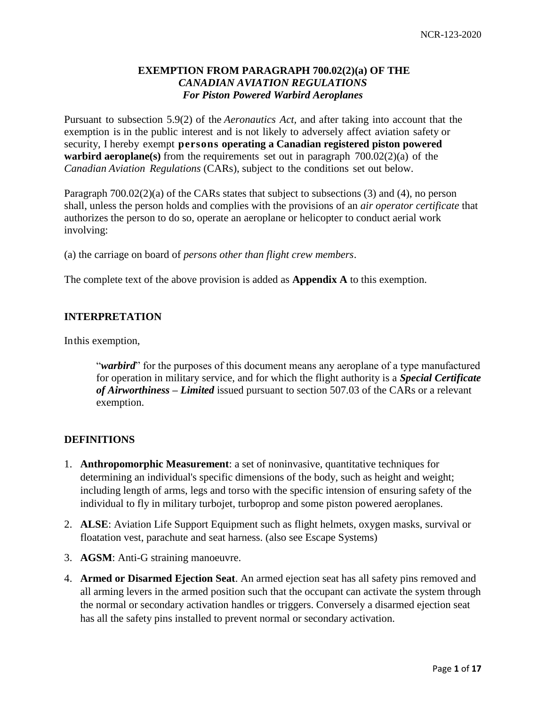# **EXEMPTION FROM PARAGRAPH 700.02(2)(a) OF THE**  *CANADIAN AVIATION REGULATIONS For Piston Powered Warbird Aeroplanes*

Pursuant to subsection 5.9(2) of the *Aeronautics Act,* and after taking into account that the exemption is in the public interest and is not likely to adversely affect aviation safety or security, I hereby exempt **persons operating a Canadian registered piston powered warbird aeroplane(s)** from the requirements set out in paragraph 700.02(2)(a) of the *Canadian Aviation Regulations* (CARs), subject to the conditions set out below.

Paragraph 700.02(2)(a) of the CARs states that subject to subsections (3) and (4), no person shall, unless the person holds and complies with the provisions of an *air operator certificate* that authorizes the person to do so, operate an aeroplane or helicopter to conduct aerial work involving:

(a) the carriage on board of *persons other than flight crew members*.

The complete text of the above provision is added as **Appendix A** to this exemption.

## **INTERPRETATION**

Inthis exemption,

"*warbird*" for the purposes of this document means any aeroplane of a type manufactured for operation in military service, and for which the flight authority is a *Special Certificate of Airworthiness – Limited* issued pursuant to section 507.03 of the CARs or a relevant exemption.

## **DEFINITIONS**

- 1. **Anthropomorphic Measurement**: a set of noninvasive, quantitative techniques for determining an individual's specific dimensions of the body, such as height and weight; including length of arms, legs and torso with the specific intension of ensuring safety of the individual to fly in military turbojet, turboprop and some piston powered aeroplanes.
- 2. **ALSE**: Aviation Life Support Equipment such as flight helmets, oxygen masks, survival or floatation vest, parachute and seat harness. (also see Escape Systems)
- 3. **AGSM**: Anti-G straining manoeuvre.
- 4. **Armed or Disarmed Ejection Seat**. An armed ejection seat has all safety pins removed and all arming levers in the armed position such that the occupant can activate the system through the normal or secondary activation handles or triggers. Conversely a disarmed ejection seat has all the safety pins installed to prevent normal or secondary activation.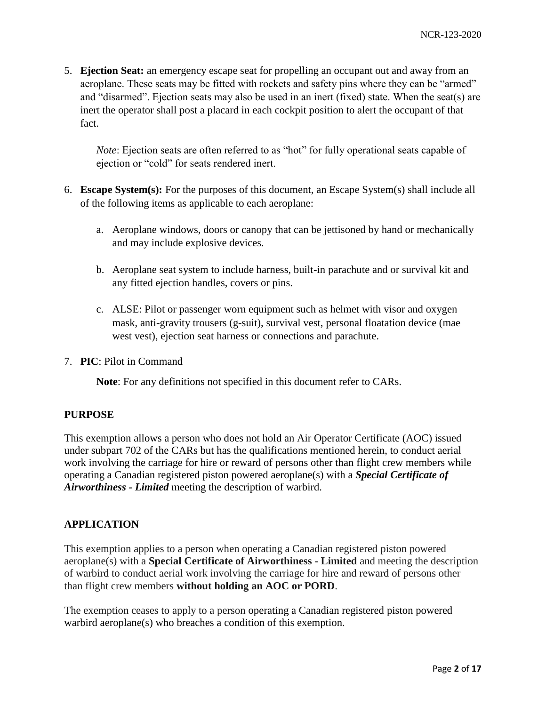5. **Ejection Seat:** an emergency escape seat for propelling an occupant out and away from an aeroplane. These seats may be fitted with rockets and safety pins where they can be "armed" and "disarmed". Ejection seats may also be used in an inert (fixed) state. When the seat(s) are inert the operator shall post a placard in each cockpit position to alert the occupant of that fact.

*Note*: Ejection seats are often referred to as "hot" for fully operational seats capable of ejection or "cold" for seats rendered inert.

- 6. **Escape System(s):** For the purposes of this document, an Escape System(s) shall include all of the following items as applicable to each aeroplane:
	- a. Aeroplane windows, doors or canopy that can be jettisoned by hand or mechanically and may include explosive devices.
	- b. Aeroplane seat system to include harness, built-in parachute and or survival kit and any fitted ejection handles, covers or pins.
	- c. ALSE: Pilot or passenger worn equipment such as helmet with visor and oxygen mask, anti-gravity trousers (g-suit), survival vest, personal floatation device (mae west vest), ejection seat harness or connections and parachute.
- 7. **PIC**: Pilot in Command

**Note**: For any definitions not specified in this document refer to CARs.

## **PURPOSE**

This exemption allows a person who does not hold an Air Operator Certificate (AOC) issued under subpart 702 of the CARs but has the qualifications mentioned herein, to conduct aerial work involving the carriage for hire or reward of persons other than flight crew members while operating a Canadian registered piston powered aeroplane(s) with a *Special Certificate of Airworthiness - Limited* meeting the description of warbird.

# **APPLICATION**

This exemption applies to a person when operating a Canadian registered piston powered aeroplane(s) with a **Special Certificate of Airworthiness - Limited** and meeting the description of warbird to conduct aerial work involving the carriage for hire and reward of persons other than flight crew members **without holding an AOC or PORD**.

The exemption ceases to apply to a person operating a Canadian registered piston powered warbird aeroplane(s) who breaches a condition of this exemption.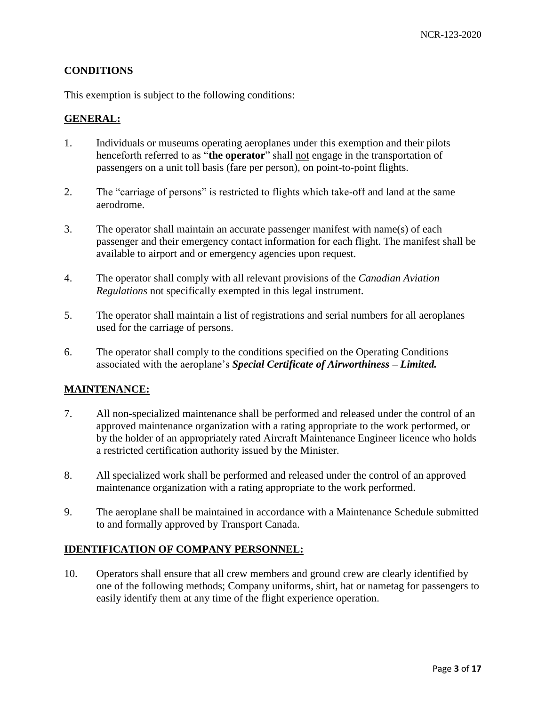## **CONDITIONS**

This exemption is subject to the following conditions:

### **GENERAL:**

- 1. Individuals or museums operating aeroplanes under this exemption and their pilots henceforth referred to as "**the operator**" shall not engage in the transportation of passengers on a unit toll basis (fare per person), on point-to-point flights.
- 2. The "carriage of persons" is restricted to flights which take-off and land at the same aerodrome.
- 3. The operator shall maintain an accurate passenger manifest with name(s) of each passenger and their emergency contact information for each flight. The manifest shall be available to airport and or emergency agencies upon request.
- 4. The operator shall comply with all relevant provisions of the *Canadian Aviation Regulations* not specifically exempted in this legal instrument.
- 5. The operator shall maintain a list of registrations and serial numbers for all aeroplanes used for the carriage of persons.
- 6. The operator shall comply to the conditions specified on the Operating Conditions associated with the aeroplane's *Special Certificate of Airworthiness – Limited.*

## **MAINTENANCE:**

- 7. All non-specialized maintenance shall be performed and released under the control of an approved maintenance organization with a rating appropriate to the work performed, or by the holder of an appropriately rated Aircraft Maintenance Engineer licence who holds a restricted certification authority issued by the Minister.
- 8. All specialized work shall be performed and released under the control of an approved maintenance organization with a rating appropriate to the work performed.
- 9. The aeroplane shall be maintained in accordance with a Maintenance Schedule submitted to and formally approved by Transport Canada.

## **IDENTIFICATION OF COMPANY PERSONNEL:**

10. Operators shall ensure that all crew members and ground crew are clearly identified by one of the following methods; Company uniforms, shirt, hat or nametag for passengers to easily identify them at any time of the flight experience operation.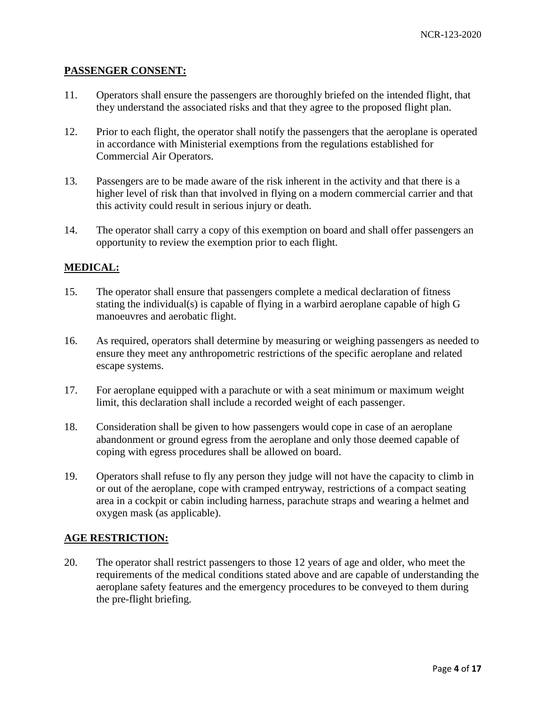### **PASSENGER CONSENT:**

- 11. Operators shall ensure the passengers are thoroughly briefed on the intended flight, that they understand the associated risks and that they agree to the proposed flight plan.
- 12. Prior to each flight, the operator shall notify the passengers that the aeroplane is operated in accordance with Ministerial exemptions from the regulations established for Commercial Air Operators.
- 13. Passengers are to be made aware of the risk inherent in the activity and that there is a higher level of risk than that involved in flying on a modern commercial carrier and that this activity could result in serious injury or death.
- 14. The operator shall carry a copy of this exemption on board and shall offer passengers an opportunity to review the exemption prior to each flight.

## **MEDICAL:**

- 15. The operator shall ensure that passengers complete a medical declaration of fitness stating the individual(s) is capable of flying in a warbird aeroplane capable of high G manoeuvres and aerobatic flight.
- 16. As required, operators shall determine by measuring or weighing passengers as needed to ensure they meet any anthropometric restrictions of the specific aeroplane and related escape systems.
- 17. For aeroplane equipped with a parachute or with a seat minimum or maximum weight limit, this declaration shall include a recorded weight of each passenger.
- 18. Consideration shall be given to how passengers would cope in case of an aeroplane abandonment or ground egress from the aeroplane and only those deemed capable of coping with egress procedures shall be allowed on board.
- 19. Operators shall refuse to fly any person they judge will not have the capacity to climb in or out of the aeroplane, cope with cramped entryway, restrictions of a compact seating area in a cockpit or cabin including harness, parachute straps and wearing a helmet and oxygen mask (as applicable).

### **AGE RESTRICTION:**

20. The operator shall restrict passengers to those 12 years of age and older, who meet the requirements of the medical conditions stated above and are capable of understanding the aeroplane safety features and the emergency procedures to be conveyed to them during the pre-flight briefing.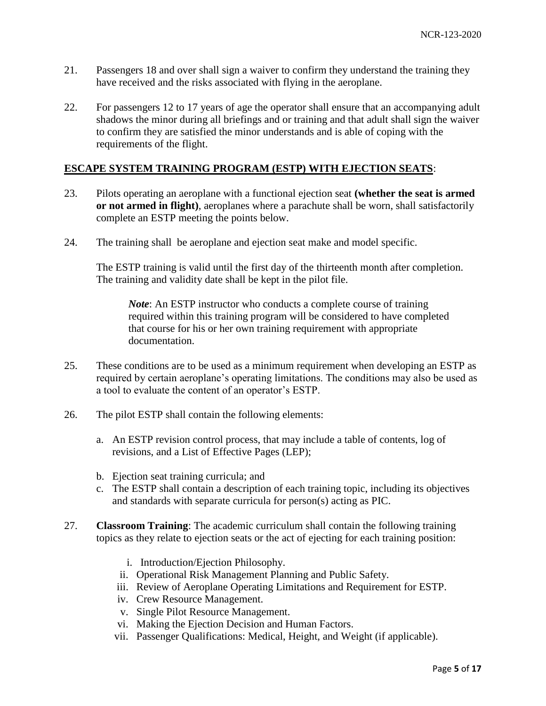- 21. Passengers 18 and over shall sign a waiver to confirm they understand the training they have received and the risks associated with flying in the aeroplane.
- 22. For passengers 12 to 17 years of age the operator shall ensure that an accompanying adult shadows the minor during all briefings and or training and that adult shall sign the waiver to confirm they are satisfied the minor understands and is able of coping with the requirements of the flight.

## **ESCAPE SYSTEM TRAINING PROGRAM (ESTP) WITH EJECTION SEATS**:

- 23. Pilots operating an aeroplane with a functional ejection seat **(whether the seat is armed or not armed in flight)**, aeroplanes where a parachute shall be worn, shall satisfactorily complete an ESTP meeting the points below.
- 24. The training shall be aeroplane and ejection seat make and model specific.

The ESTP training is valid until the first day of the thirteenth month after completion. The training and validity date shall be kept in the pilot file.

*Note*: An ESTP instructor who conducts a complete course of training required within this training program will be considered to have completed that course for his or her own training requirement with appropriate documentation.

- 25. These conditions are to be used as a minimum requirement when developing an ESTP as required by certain aeroplane's operating limitations. The conditions may also be used as a tool to evaluate the content of an operator's ESTP.
- 26. The pilot ESTP shall contain the following elements:
	- a. An ESTP revision control process, that may include a table of contents, log of revisions, and a List of Effective Pages (LEP);
	- b. Ejection seat training curricula; and
	- c. The ESTP shall contain a description of each training topic, including its objectives and standards with separate curricula for person(s) acting as PIC.
- 27. **Classroom Training**: The academic curriculum shall contain the following training topics as they relate to ejection seats or the act of ejecting for each training position:
	- i. Introduction/Ejection Philosophy.
	- ii. Operational Risk Management Planning and Public Safety.
	- iii. Review of Aeroplane Operating Limitations and Requirement for ESTP.
	- iv. Crew Resource Management.
	- v. Single Pilot Resource Management.
	- vi. Making the Ejection Decision and Human Factors.
	- vii. Passenger Qualifications: Medical, Height, and Weight (if applicable).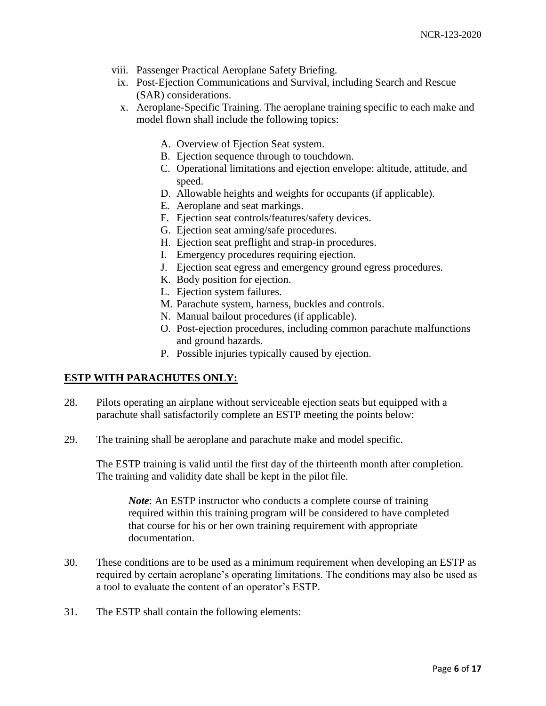- viii. Passenger Practical Aeroplane Safety Briefing.
- ix. Post-Ejection Communications and Survival, including Search and Rescue (SAR) considerations.
- x. Aeroplane-Specific Training. The aeroplane training specific to each make and model flown shall include the following topics:
	- A. Overview of Ejection Seat system.
	- B. Ejection sequence through to touchdown.
	- C. Operational limitations and ejection envelope: altitude, attitude, and speed.
	- D. Allowable heights and weights for occupants (if applicable).
	- E. Aeroplane and seat markings.
	- F. Ejection seat controls/features/safety devices.
	- G. Ejection seat arming/safe procedures.
	- H. Ejection seat preflight and strap-in procedures.
	- I. Emergency procedures requiring ejection.
	- J. Ejection seat egress and emergency ground egress procedures.
	- K. Body position for ejection.
	- L. Ejection system failures.
	- M. Parachute system, harness, buckles and controls.
	- N. Manual bailout procedures (if applicable).
	- O. Post-ejection procedures, including common parachute malfunctions and ground hazards.
	- P. Possible injuries typically caused by ejection.

## **ESTP WITH PARACHUTES ONLY:**

- 28. Pilots operating an airplane without serviceable ejection seats but equipped with a parachute shall satisfactorily complete an ESTP meeting the points below:
- 29. The training shall be aeroplane and parachute make and model specific.

The ESTP training is valid until the first day of the thirteenth month after completion. The training and validity date shall be kept in the pilot file.

*Note*: An ESTP instructor who conducts a complete course of training required within this training program will be considered to have completed that course for his or her own training requirement with appropriate documentation.

- 30. These conditions are to be used as a minimum requirement when developing an ESTP as required by certain aeroplane's operating limitations. The conditions may also be used as a tool to evaluate the content of an operator's ESTP.
- 31. The ESTP shall contain the following elements: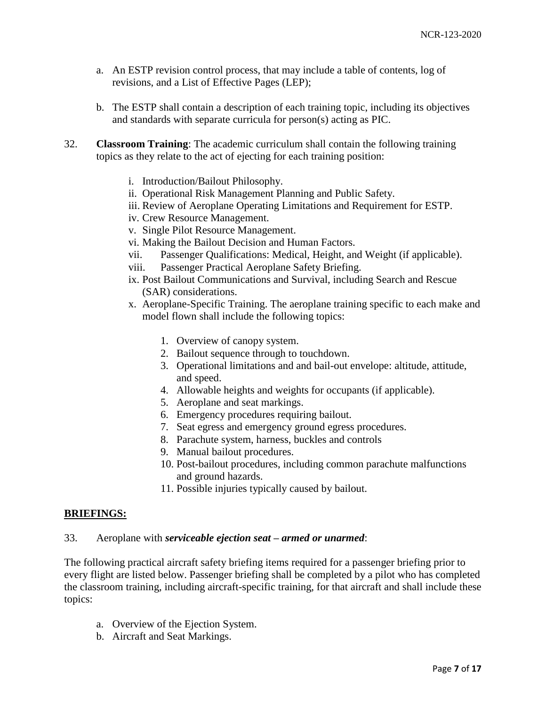- a. An ESTP revision control process, that may include a table of contents, log of revisions, and a List of Effective Pages (LEP);
- b. The ESTP shall contain a description of each training topic, including its objectives and standards with separate curricula for person(s) acting as PIC.
- 32. **Classroom Training**: The academic curriculum shall contain the following training topics as they relate to the act of ejecting for each training position:
	- i. Introduction/Bailout Philosophy.
	- ii. Operational Risk Management Planning and Public Safety.
	- iii. Review of Aeroplane Operating Limitations and Requirement for ESTP.
	- iv. Crew Resource Management.
	- v. Single Pilot Resource Management.
	- vi. Making the Bailout Decision and Human Factors.
	- vii. Passenger Qualifications: Medical, Height, and Weight (if applicable).
	- viii. Passenger Practical Aeroplane Safety Briefing.
	- ix. Post Bailout Communications and Survival, including Search and Rescue (SAR) considerations.
	- x. Aeroplane-Specific Training. The aeroplane training specific to each make and model flown shall include the following topics:
		- 1. Overview of canopy system.
		- 2. Bailout sequence through to touchdown.
		- 3. Operational limitations and and bail-out envelope: altitude, attitude, and speed.
		- 4. Allowable heights and weights for occupants (if applicable).
		- 5. Aeroplane and seat markings.
		- 6. Emergency procedures requiring bailout.
		- 7. Seat egress and emergency ground egress procedures.
		- 8. Parachute system, harness, buckles and controls
		- 9. Manual bailout procedures.
		- 10. Post-bailout procedures, including common parachute malfunctions and ground hazards.
		- 11. Possible injuries typically caused by bailout.

### **BRIEFINGS:**

### 33. Aeroplane with *serviceable ejection seat – armed or unarmed*:

The following practical aircraft safety briefing items required for a passenger briefing prior to every flight are listed below. Passenger briefing shall be completed by a pilot who has completed the classroom training, including aircraft-specific training, for that aircraft and shall include these topics:

- a. Overview of the Ejection System.
- b. Aircraft and Seat Markings.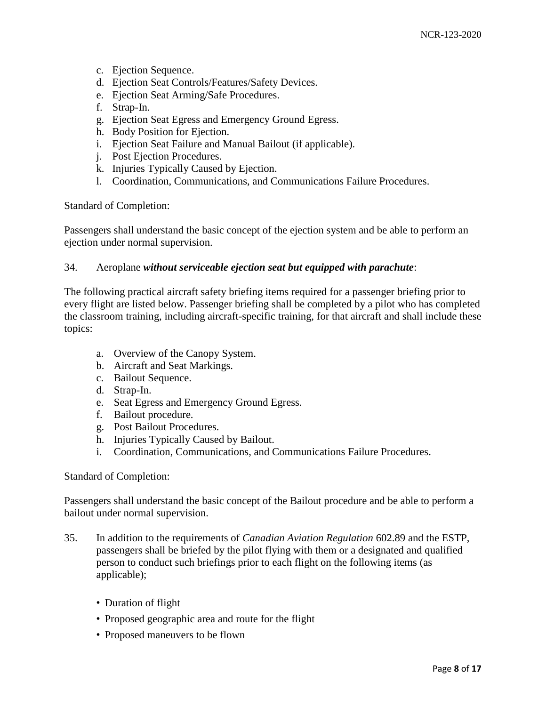- c. Ejection Sequence.
- d. Ejection Seat Controls/Features/Safety Devices.
- e. Ejection Seat Arming/Safe Procedures.
- f. Strap-In.
- g. Ejection Seat Egress and Emergency Ground Egress.
- h. Body Position for Ejection.
- i. Ejection Seat Failure and Manual Bailout (if applicable).
- j. Post Ejection Procedures.
- k. Injuries Typically Caused by Ejection.
- l. Coordination, Communications, and Communications Failure Procedures.

Standard of Completion:

Passengers shall understand the basic concept of the ejection system and be able to perform an ejection under normal supervision.

### 34. Aeroplane *without serviceable ejection seat but equipped with parachute*:

The following practical aircraft safety briefing items required for a passenger briefing prior to every flight are listed below. Passenger briefing shall be completed by a pilot who has completed the classroom training, including aircraft-specific training, for that aircraft and shall include these topics:

- a. Overview of the Canopy System.
- b. Aircraft and Seat Markings.
- c. Bailout Sequence.
- d. Strap-In.
- e. Seat Egress and Emergency Ground Egress.
- f. Bailout procedure.
- g. Post Bailout Procedures.
- h. Injuries Typically Caused by Bailout.
- i. Coordination, Communications, and Communications Failure Procedures.

#### Standard of Completion:

Passengers shall understand the basic concept of the Bailout procedure and be able to perform a bailout under normal supervision.

- 35. In addition to the requirements of *Canadian Aviation Regulation* 602.89 and the ESTP, passengers shall be briefed by the pilot flying with them or a designated and qualified person to conduct such briefings prior to each flight on the following items (as applicable);
	- Duration of flight
	- Proposed geographic area and route for the flight
	- Proposed maneuvers to be flown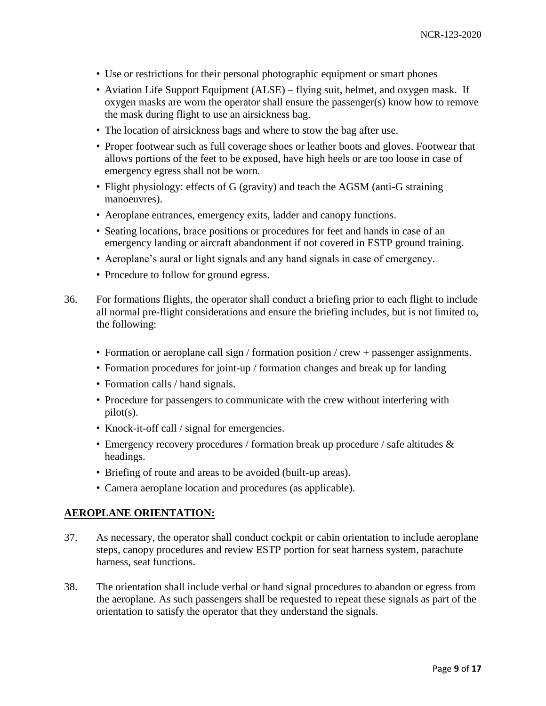- Use or restrictions for their personal photographic equipment or smart phones
- Aviation Life Support Equipment (ALSE) flying suit, helmet, and oxygen mask. If oxygen masks are worn the operator shall ensure the passenger(s) know how to remove the mask during flight to use an airsickness bag.
- The location of airsickness bags and where to stow the bag after use.
- Proper footwear such as full coverage shoes or leather boots and gloves. Footwear that allows portions of the feet to be exposed, have high heels or are too loose in case of emergency egress shall not be worn.
- Flight physiology: effects of G (gravity) and teach the AGSM (anti-G straining manoeuvres).
- Aeroplane entrances, emergency exits, ladder and canopy functions.
- Seating locations, brace positions or procedures for feet and hands in case of an emergency landing or aircraft abandonment if not covered in ESTP ground training.
- Aeroplane's aural or light signals and any hand signals in case of emergency.
- Procedure to follow for ground egress.
- 36. For formations flights, the operator shall conduct a briefing prior to each flight to include all normal pre-flight considerations and ensure the briefing includes, but is not limited to, the following:
	- Formation or aeroplane call sign / formation position / crew + passenger assignments.
	- Formation procedures for joint-up / formation changes and break up for landing
	- Formation calls / hand signals.
	- Procedure for passengers to communicate with the crew without interfering with pilot(s).
	- Knock-it-off call / signal for emergencies.
	- Emergency recovery procedures / formation break up procedure / safe altitudes  $\&$ headings.
	- Briefing of route and areas to be avoided (built-up areas).
	- Camera aeroplane location and procedures (as applicable).

### **AEROPLANE ORIENTATION:**

- 37. As necessary, the operator shall conduct cockpit or cabin orientation to include aeroplane steps, canopy procedures and review ESTP portion for seat harness system, parachute harness, seat functions.
- 38. The orientation shall include verbal or hand signal procedures to abandon or egress from the aeroplane. As such passengers shall be requested to repeat these signals as part of the orientation to satisfy the operator that they understand the signals.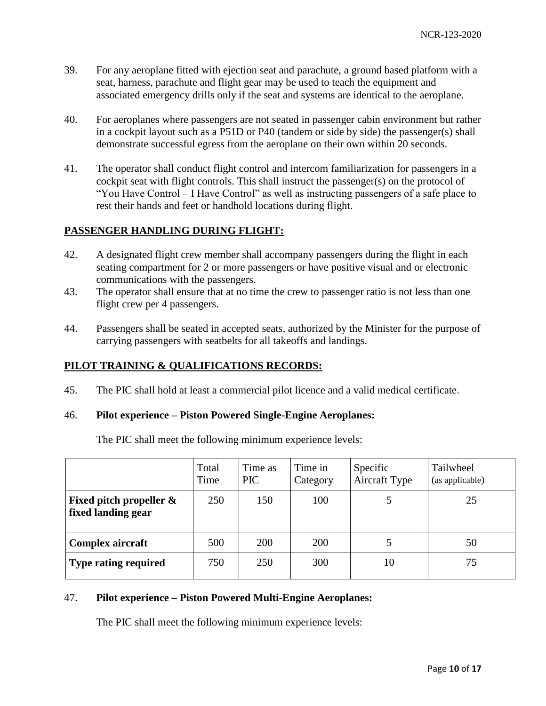- 39. For any aeroplane fitted with ejection seat and parachute, a ground based platform with a seat, harness, parachute and flight gear may be used to teach the equipment and associated emergency drills only if the seat and systems are identical to the aeroplane.
- 40. For aeroplanes where passengers are not seated in passenger cabin environment but rather in a cockpit layout such as a P51D or P40 (tandem or side by side) the passenger(s) shall demonstrate successful egress from the aeroplane on their own within 20 seconds.
- 41. The operator shall conduct flight control and intercom familiarization for passengers in a cockpit seat with flight controls. This shall instruct the passenger(s) on the protocol of "You Have Control – I Have Control" as well as instructing passengers of a safe place to rest their hands and feet or handhold locations during flight.

# **PASSENGER HANDLING DURING FLIGHT:**

- 42. A designated flight crew member shall accompany passengers during the flight in each seating compartment for 2 or more passengers or have positive visual and or electronic communications with the passengers.
- 43. The operator shall ensure that at no time the crew to passenger ratio is not less than one flight crew per 4 passengers.
- 44. Passengers shall be seated in accepted seats, authorized by the Minister for the purpose of carrying passengers with seatbelts for all takeoffs and landings.

# **PILOT TRAINING & QUALIFICATIONS RECORDS:**

45. The PIC shall hold at least a commercial pilot licence and a valid medical certificate.

### 46. **Pilot experience – Piston Powered Single-Engine Aeroplanes:**

The PIC shall meet the following minimum experience levels:

|                                                  | Total<br>Time | Time as<br><b>PIC</b> | Time in<br>Category | Specific<br>Aircraft Type | Tailwheel<br>(as applicable) |
|--------------------------------------------------|---------------|-----------------------|---------------------|---------------------------|------------------------------|
| Fixed pitch propeller $\&$<br>fixed landing gear | 250           | 150                   | 100                 |                           | 25                           |
| Complex aircraft                                 | 500           | <b>200</b>            | 200                 |                           | 50                           |
| <b>Type rating required</b>                      | 750           | 250                   | 300                 | 10                        | 75                           |

## 47. **Pilot experience – Piston Powered Multi-Engine Aeroplanes:**

The PIC shall meet the following minimum experience levels: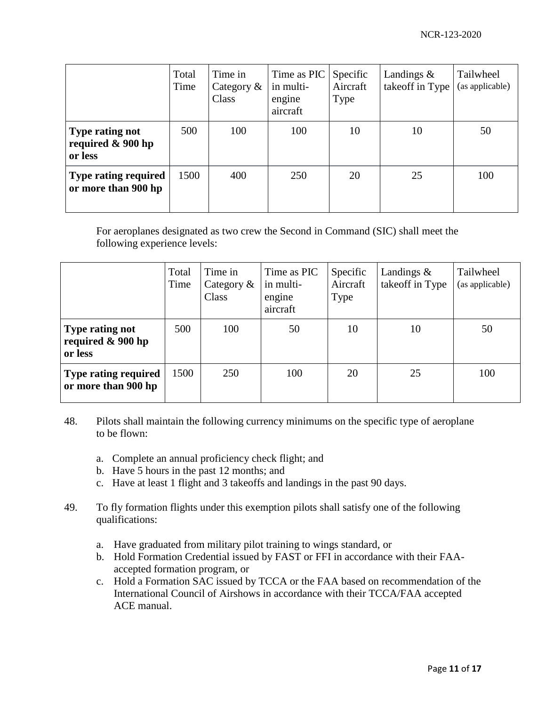|                                                           | Total<br>Time | Time in<br>Category $\&$<br>Class | Time as PIC<br>in multi-<br>engine<br>aircraft | Specific<br>Aircraft<br><b>Type</b> | Landings $\&$<br>takeoff in Type | Tailwheel<br>(as applicable) |
|-----------------------------------------------------------|---------------|-----------------------------------|------------------------------------------------|-------------------------------------|----------------------------------|------------------------------|
| <b>Type rating not</b><br>required $\&$ 900 hp<br>or less | 500           | 100                               | 100                                            | 10                                  | 10                               | 50                           |
| <b>Type rating required</b><br>or more than 900 hp        | 1500          | 400                               | 250                                            | 20                                  | 25                               | 100                          |

For aeroplanes designated as two crew the Second in Command (SIC) shall meet the following experience levels:

|                                                        | Total<br>Time | Time in<br>Category $\&$<br>Class | Time as PIC<br>in multi-<br>engine<br>aircraft | Specific<br>Aircraft<br>Type | Landings $\&$<br>takeoff in Type | Tailwheel<br>(as applicable) |
|--------------------------------------------------------|---------------|-----------------------------------|------------------------------------------------|------------------------------|----------------------------------|------------------------------|
| <b>Type rating not</b><br>required & 900 hp<br>or less | 500           | 100                               | 50                                             | 10                           | 10                               | 50                           |
| <b>Type rating required</b><br>or more than 900 hp     | 1500          | 250                               | 100                                            | 20                           | 25                               | 100                          |

- 48. Pilots shall maintain the following currency minimums on the specific type of aeroplane to be flown:
	- a. Complete an annual proficiency check flight; and
	- b. Have 5 hours in the past 12 months; and
	- c. Have at least 1 flight and 3 takeoffs and landings in the past 90 days.
- 49. To fly formation flights under this exemption pilots shall satisfy one of the following qualifications:
	- a. Have graduated from military pilot training to wings standard, or
	- b. Hold Formation Credential issued by FAST or FFI in accordance with their FAAaccepted formation program, or
	- c. Hold a Formation SAC issued by TCCA or the FAA based on recommendation of the International Council of Airshows in accordance with their TCCA/FAA accepted ACE manual.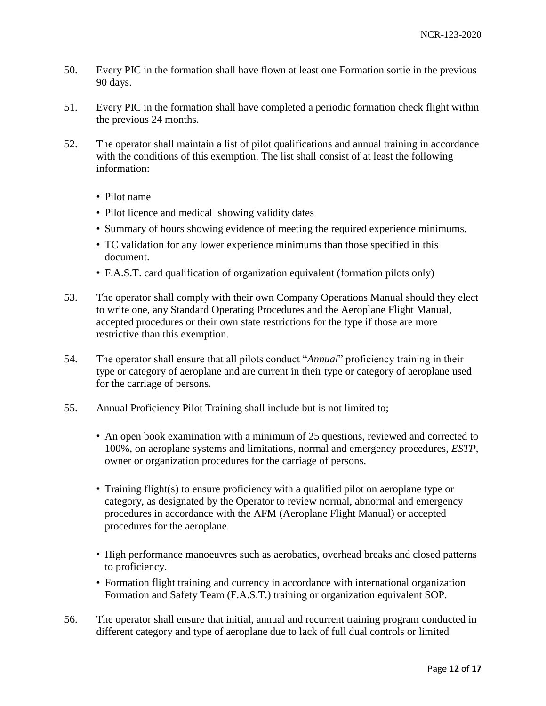- 50. Every PIC in the formation shall have flown at least one Formation sortie in the previous 90 days.
- 51. Every PIC in the formation shall have completed a periodic formation check flight within the previous 24 months.
- 52. The operator shall maintain a list of pilot qualifications and annual training in accordance with the conditions of this exemption. The list shall consist of at least the following information:
	- Pilot name
	- Pilot licence and medical showing validity dates
	- Summary of hours showing evidence of meeting the required experience minimums.
	- TC validation for any lower experience minimums than those specified in this document.
	- F.A.S.T. card qualification of organization equivalent (formation pilots only)
- 53. The operator shall comply with their own Company Operations Manual should they elect to write one, any Standard Operating Procedures and the Aeroplane Flight Manual, accepted procedures or their own state restrictions for the type if those are more restrictive than this exemption.
- 54. The operator shall ensure that all pilots conduct "*Annual*" proficiency training in their type or category of aeroplane and are current in their type or category of aeroplane used for the carriage of persons.
- 55. Annual Proficiency Pilot Training shall include but is not limited to;
	- An open book examination with a minimum of 25 questions, reviewed and corrected to 100%, on aeroplane systems and limitations, normal and emergency procedures, *ESTP*, owner or organization procedures for the carriage of persons.
	- Training flight(s) to ensure proficiency with a qualified pilot on aeroplane type or category, as designated by the Operator to review normal, abnormal and emergency procedures in accordance with the AFM (Aeroplane Flight Manual) or accepted procedures for the aeroplane.
	- High performance manoeuvres such as aerobatics, overhead breaks and closed patterns to proficiency.
	- Formation flight training and currency in accordance with international organization Formation and Safety Team (F.A.S.T.) training or organization equivalent SOP.
- 56. The operator shall ensure that initial, annual and recurrent training program conducted in different category and type of aeroplane due to lack of full dual controls or limited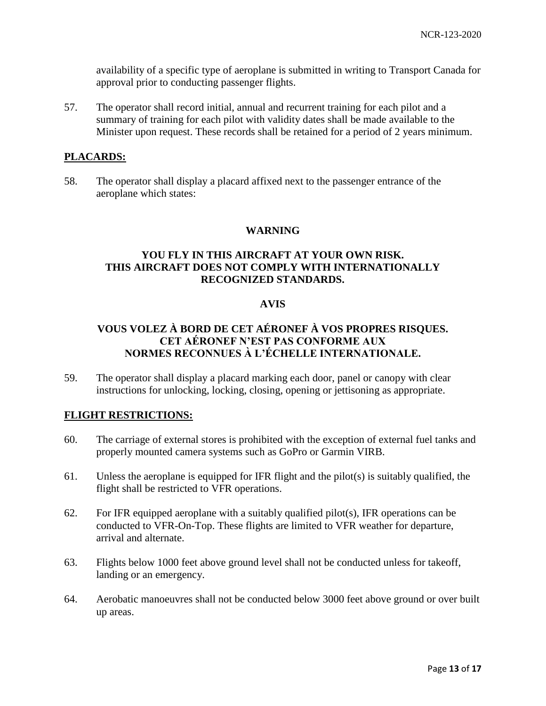availability of a specific type of aeroplane is submitted in writing to Transport Canada for approval prior to conducting passenger flights.

57. The operator shall record initial, annual and recurrent training for each pilot and a summary of training for each pilot with validity dates shall be made available to the Minister upon request. These records shall be retained for a period of 2 years minimum.

## **PLACARDS:**

58. The operator shall display a placard affixed next to the passenger entrance of the aeroplane which states:

### **WARNING**

## **YOU FLY IN THIS AIRCRAFT AT YOUR OWN RISK. THIS AIRCRAFT DOES NOT COMPLY WITH INTERNATIONALLY RECOGNIZED STANDARDS.**

### **AVIS**

# **VOUS VOLEZ À BORD DE CET AÉRONEF À VOS PROPRES RISQUES. CET AÉRONEF N'EST PAS CONFORME AUX NORMES RECONNUES À L'ÉCHELLE INTERNATIONALE.**

59. The operator shall display a placard marking each door, panel or canopy with clear instructions for unlocking, locking, closing, opening or jettisoning as appropriate.

## **FLIGHT RESTRICTIONS:**

- 60. The carriage of external stores is prohibited with the exception of external fuel tanks and properly mounted camera systems such as GoPro or Garmin VIRB.
- 61. Unless the aeroplane is equipped for IFR flight and the pilot(s) is suitably qualified, the flight shall be restricted to VFR operations.
- 62. For IFR equipped aeroplane with a suitably qualified pilot(s), IFR operations can be conducted to VFR-On-Top. These flights are limited to VFR weather for departure, arrival and alternate.
- 63. Flights below 1000 feet above ground level shall not be conducted unless for takeoff, landing or an emergency.
- 64. Aerobatic manoeuvres shall not be conducted below 3000 feet above ground or over built up areas.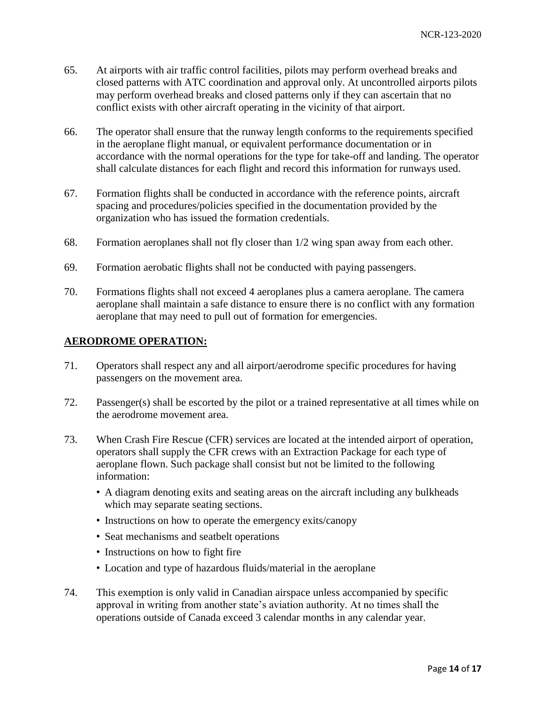- 65. At airports with air traffic control facilities, pilots may perform overhead breaks and closed patterns with ATC coordination and approval only. At uncontrolled airports pilots may perform overhead breaks and closed patterns only if they can ascertain that no conflict exists with other aircraft operating in the vicinity of that airport.
- 66. The operator shall ensure that the runway length conforms to the requirements specified in the aeroplane flight manual, or equivalent performance documentation or in accordance with the normal operations for the type for take-off and landing. The operator shall calculate distances for each flight and record this information for runways used.
- 67. Formation flights shall be conducted in accordance with the reference points, aircraft spacing and procedures/policies specified in the documentation provided by the organization who has issued the formation credentials.
- 68. Formation aeroplanes shall not fly closer than 1/2 wing span away from each other.
- 69. Formation aerobatic flights shall not be conducted with paying passengers.
- 70. Formations flights shall not exceed 4 aeroplanes plus a camera aeroplane. The camera aeroplane shall maintain a safe distance to ensure there is no conflict with any formation aeroplane that may need to pull out of formation for emergencies.

## **AERODROME OPERATION:**

- 71. Operators shall respect any and all airport/aerodrome specific procedures for having passengers on the movement area.
- 72. Passenger(s) shall be escorted by the pilot or a trained representative at all times while on the aerodrome movement area.
- 73. When Crash Fire Rescue (CFR) services are located at the intended airport of operation, operators shall supply the CFR crews with an Extraction Package for each type of aeroplane flown. Such package shall consist but not be limited to the following information:
	- A diagram denoting exits and seating areas on the aircraft including any bulkheads which may separate seating sections.
	- Instructions on how to operate the emergency exits/canopy
	- Seat mechanisms and seatbelt operations
	- Instructions on how to fight fire
	- Location and type of hazardous fluids/material in the aeroplane
- 74. This exemption is only valid in Canadian airspace unless accompanied by specific approval in writing from another state's aviation authority. At no times shall the operations outside of Canada exceed 3 calendar months in any calendar year.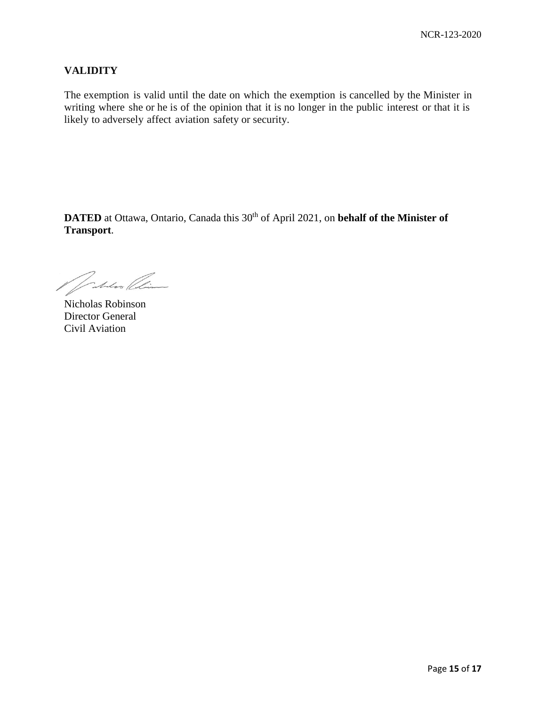## **VALIDITY**

The exemption is valid until the date on which the exemption is cancelled by the Minister in writing where she or he is of the opinion that it is no longer in the public interest or that it is likely to adversely affect aviation safety or security.

**DATED** at Ottawa, Ontario, Canada this 30<sup>th</sup> of April 2021, on **behalf of the Minister of Transport**.

Matan Clin

Nicholas Robinson Director General Civil Aviation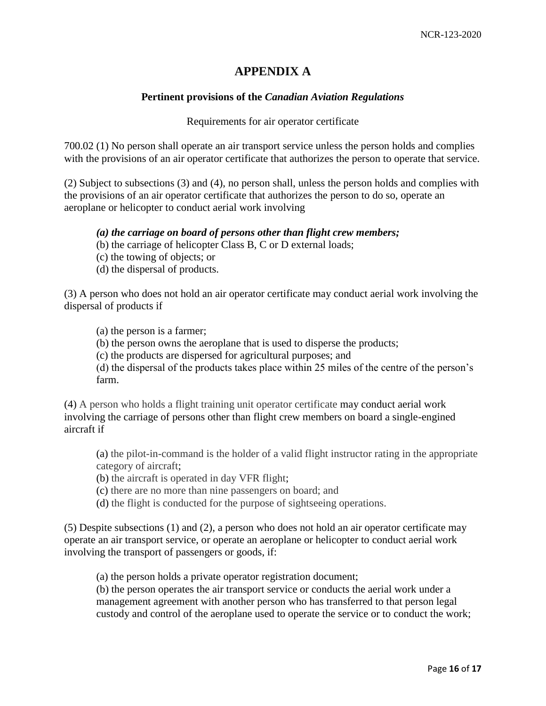# **APPENDIX A**

### **Pertinent provisions of the** *Canadian Aviation Regulations*

#### Requirements for air operator certificate

700.02 (1) No person shall operate an air transport service unless the person holds and complies with the provisions of an air operator certificate that authorizes the person to operate that service.

(2) Subject to subsections (3) and (4), no person shall, unless the person holds and complies with the provisions of an air operator certificate that authorizes the person to do so, operate an aeroplane or helicopter to conduct aerial work involving

#### *(a) the carriage on board of persons other than flight crew members;*

- (b) the carriage of helicopter Class B, C or D external loads;
- (c) the towing of objects; or
- (d) the dispersal of products.

(3) A person who does not hold an air operator certificate may conduct aerial work involving the dispersal of products if

(a) the person is a farmer;

(b) the person owns the aeroplane that is used to disperse the products;

(c) the products are dispersed for agricultural purposes; and

(d) the dispersal of the products takes place within 25 miles of the centre of the person's farm.

(4) A person who holds a flight training unit operator certificate may conduct aerial work involving the carriage of persons other than flight crew members on board a single-engined aircraft if

(a) the pilot-in-command is the holder of a valid flight instructor rating in the appropriate category of aircraft;

(b) the aircraft is operated in day VFR flight;

(c) there are no more than nine passengers on board; and

(d) the flight is conducted for the purpose of sightseeing operations.

(5) Despite subsections (1) and (2), a person who does not hold an air operator certificate may operate an air transport service, or operate an aeroplane or helicopter to conduct aerial work involving the transport of passengers or goods, if:

(a) the person holds a private operator registration document;

(b) the person operates the air transport service or conducts the aerial work under a management agreement with another person who has transferred to that person legal custody and control of the aeroplane used to operate the service or to conduct the work;